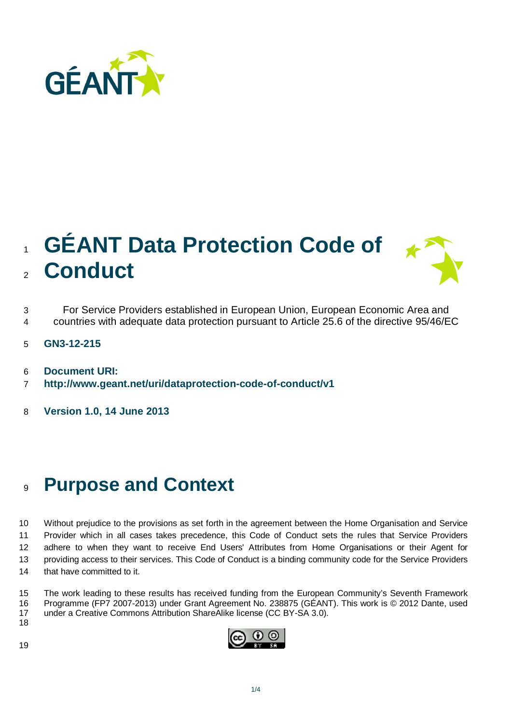

## <sup>1</sup>**GÉANT Data Protection Code of**  <sup>2</sup>**Conduct**



- 3 For Service Providers established in European Union, European Economic Area and
- 4 countries with adequate data protection pursuant to Article 25.6 of the directive 95/46/EC
- 5 **GN3-12-215**
- 6 **Document URI:**
- 7 **http://www.geant.net/uri/dataprotection-code-of-conduct/v1**
- 8 **Version 1.0, 14 June 2013**

## <sup>9</sup>**Purpose and Context**

10 Without prejudice to the provisions as set forth in the agreement between the Home Organisation and Service 11 Provider which in all cases takes precedence, this Code of Conduct sets the rules that Service Providers 12 adhere to when they want to receive End Users' Attributes from Home Organisations or their Agent for 13 providing access to their services. This Code of Conduct is a binding community code for the Service Providers 14 that have committed to it.

15 The work leading to these results has received funding from the European Community's Seventh Framework 16 Programme (FP7 2007-2013) under Grant Agreement No. 238875 (GÉANT). This work is © 2012 Dante, used 17 under a Creative Commons Attribution ShareAlike license (CC BY-SA 3.0).

18

19

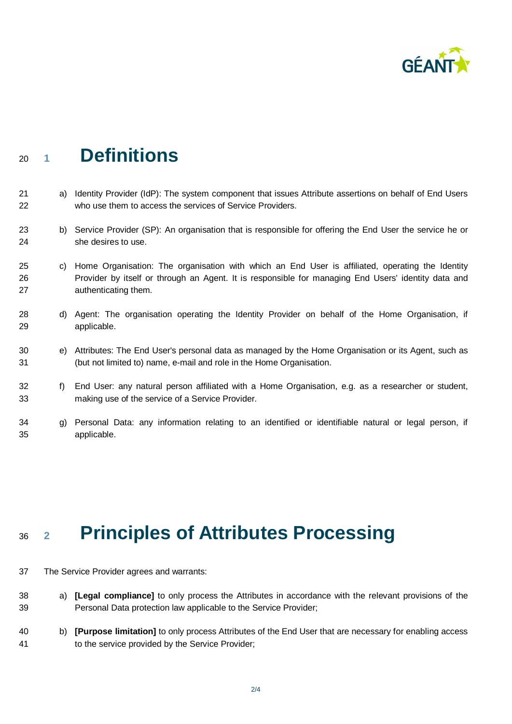

## <sup>20</sup>**<sup>1</sup>Definitions**

- 21 a) Identity Provider (IdP): The system component that issues Attribute assertions on behalf of End Users 22 who use them to access the services of Service Providers.
- 23 b) Service Provider (SP): An organisation that is responsible for offering the End User the service he or 24 she desires to use.
- 25 c) Home Organisation: The organisation with which an End User is affiliated, operating the Identity 26 Provider by itself or through an Agent. It is responsible for managing End Users' identity data and 27 authenticating them.
- 28 d) Agent: The organisation operating the Identity Provider on behalf of the Home Organisation, if 29 applicable.
- 30 e) Attributes: The End User's personal data as managed by the Home Organisation or its Agent, such as 31 (but not limited to) name, e-mail and role in the Home Organisation.
- 32 f) End User: any natural person affiliated with a Home Organisation, e.g. as a researcher or student, 33 making use of the service of a Service Provider.
- 34 g) Personal Data: any information relating to an identified or identifiable natural or legal person, if 35 applicable.

## <sup>36</sup>**<sup>2</sup>Principles of Attributes Processing**

- 37 The Service Provider agrees and warrants:
- 38 a) **[Legal compliance]** to only process the Attributes in accordance with the relevant provisions of the 39 Personal Data protection law applicable to the Service Provider;
- 40 b) **[Purpose limitation]** to only process Attributes of the End User that are necessary for enabling access 41 to the service provided by the Service Provider;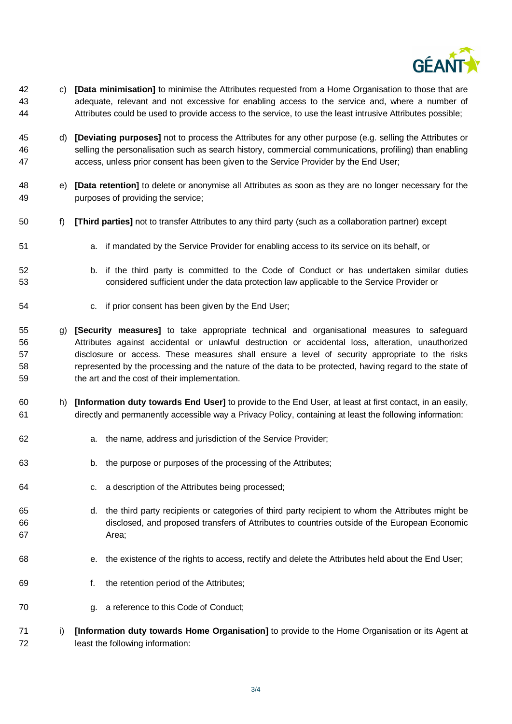

- 42 c) **[Data minimisation]** to minimise the Attributes requested from a Home Organisation to those that are 43 adequate, relevant and not excessive for enabling access to the service and, where a number of 44 Attributes could be used to provide access to the service, to use the least intrusive Attributes possible;
- 45 d) **[Deviating purposes]** not to process the Attributes for any other purpose (e.g. selling the Attributes or 46 selling the personalisation such as search history, commercial communications, profiling) than enabling 47 access, unless prior consent has been given to the Service Provider by the End User;
- 48 e) **[Data retention]** to delete or anonymise all Attributes as soon as they are no longer necessary for the 49 purposes of providing the service;
- 50 f) **[Third parties]** not to transfer Attributes to any third party (such as a collaboration partner) except
- 51 a. if mandated by the Service Provider for enabling access to its service on its behalf, or
- 52 b. if the third party is committed to the Code of Conduct or has undertaken similar duties 53 considered sufficient under the data protection law applicable to the Service Provider or
- 54 c. if prior consent has been given by the End User;
- 55 g) **[Security measures]** to take appropriate technical and organisational measures to safeguard 56 Attributes against accidental or unlawful destruction or accidental loss, alteration, unauthorized 57 disclosure or access. These measures shall ensure a level of security appropriate to the risks 58 represented by the processing and the nature of the data to be protected, having regard to the state of 59 the art and the cost of their implementation.
- 60 h) **[Information duty towards End User]** to provide to the End User, at least at first contact, in an easily, 61 directly and permanently accessible way a Privacy Policy, containing at least the following information:
- 62 a. the name, address and jurisdiction of the Service Provider;
- 63 b. the purpose or purposes of the processing of the Attributes;
- 64 c. a description of the Attributes being processed;
- 65 d. the third party recipients or categories of third party recipient to whom the Attributes might be 66 disclosed, and proposed transfers of Attributes to countries outside of the European Economic 67 Area;
- 68 e. the existence of the rights to access, rectify and delete the Attributes held about the End User;
- 69 f. the retention period of the Attributes;
- 70 g. a reference to this Code of Conduct;
- 71 i) **[Information duty towards Home Organisation]** to provide to the Home Organisation or its Agent at 72 least the following information: